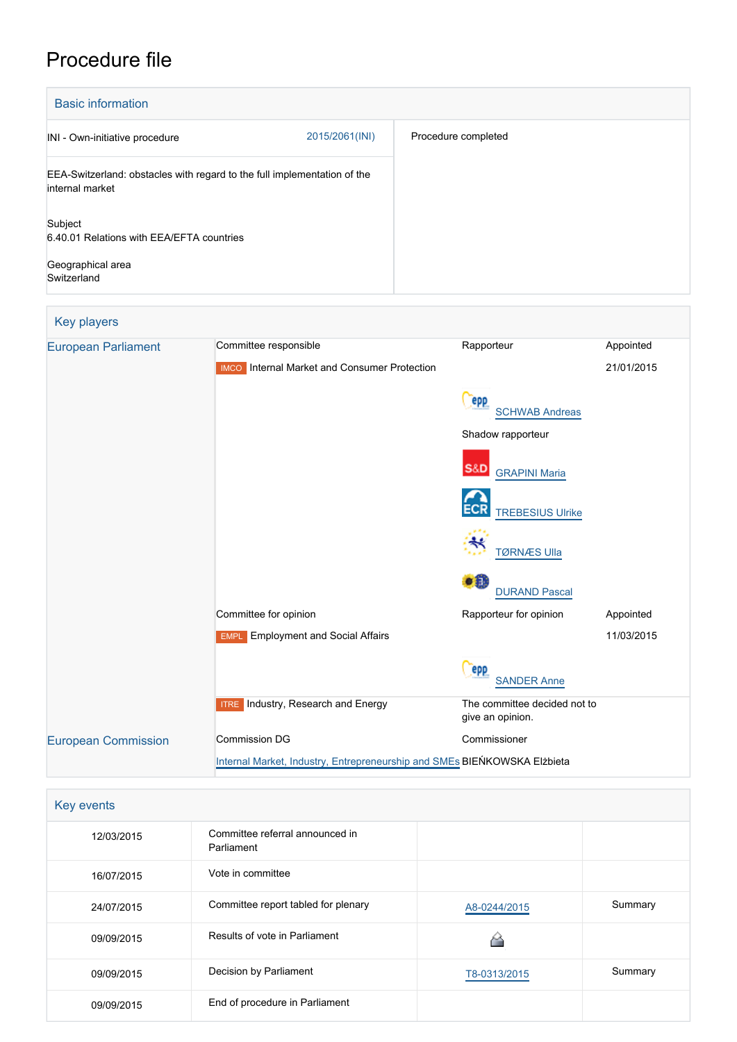## Procedure file

| <b>Basic information</b>                                                                    |                |                     |
|---------------------------------------------------------------------------------------------|----------------|---------------------|
| INI - Own-initiative procedure                                                              | 2015/2061(INI) | Procedure completed |
| EEA-Switzerland: obstacles with regard to the full implementation of the<br>internal market |                |                     |
| Subject<br>6.40.01 Relations with EEA/EFTA countries                                        |                |                     |
| Geographical area<br>Switzerland                                                            |                |                     |

| <b>Key players</b>         |                                                                          |                                                  |            |  |  |
|----------------------------|--------------------------------------------------------------------------|--------------------------------------------------|------------|--|--|
| <b>European Parliament</b> | Committee responsible                                                    | Rapporteur                                       | Appointed  |  |  |
|                            | <b>IMCO</b> Internal Market and Consumer Protection                      |                                                  | 21/01/2015 |  |  |
|                            |                                                                          | epp<br><b>SCHWAB Andreas</b>                     |            |  |  |
|                            |                                                                          | Shadow rapporteur                                |            |  |  |
|                            |                                                                          | S&D<br><b>GRAPINI Maria</b>                      |            |  |  |
|                            |                                                                          | <b>TREBESIUS Ulrike</b>                          |            |  |  |
|                            |                                                                          | <b>TØRNÆS Ulla</b>                               |            |  |  |
|                            |                                                                          | o a<br><b>DURAND Pascal</b>                      |            |  |  |
|                            | Committee for opinion                                                    | Rapporteur for opinion                           | Appointed  |  |  |
|                            | <b>Employment and Social Affairs</b><br><b>EMPL</b>                      |                                                  | 11/03/2015 |  |  |
|                            |                                                                          | epp<br><b>SANDER Anne</b>                        |            |  |  |
|                            | Industry, Research and Energy<br><b>ITRE</b>                             | The committee decided not to<br>give an opinion. |            |  |  |
| <b>European Commission</b> | <b>Commission DG</b>                                                     | Commissioner                                     |            |  |  |
|                            | Internal Market, Industry, Entrepreneurship and SMEs BIEŃKOWSKA Elżbieta |                                                  |            |  |  |

| Key events |                                               |              |         |
|------------|-----------------------------------------------|--------------|---------|
| 12/03/2015 | Committee referral announced in<br>Parliament |              |         |
| 16/07/2015 | Vote in committee                             |              |         |
| 24/07/2015 | Committee report tabled for plenary           | A8-0244/2015 | Summary |
| 09/09/2015 | Results of vote in Parliament                 |              |         |
| 09/09/2015 | Decision by Parliament                        | T8-0313/2015 | Summary |
| 09/09/2015 | End of procedure in Parliament                |              |         |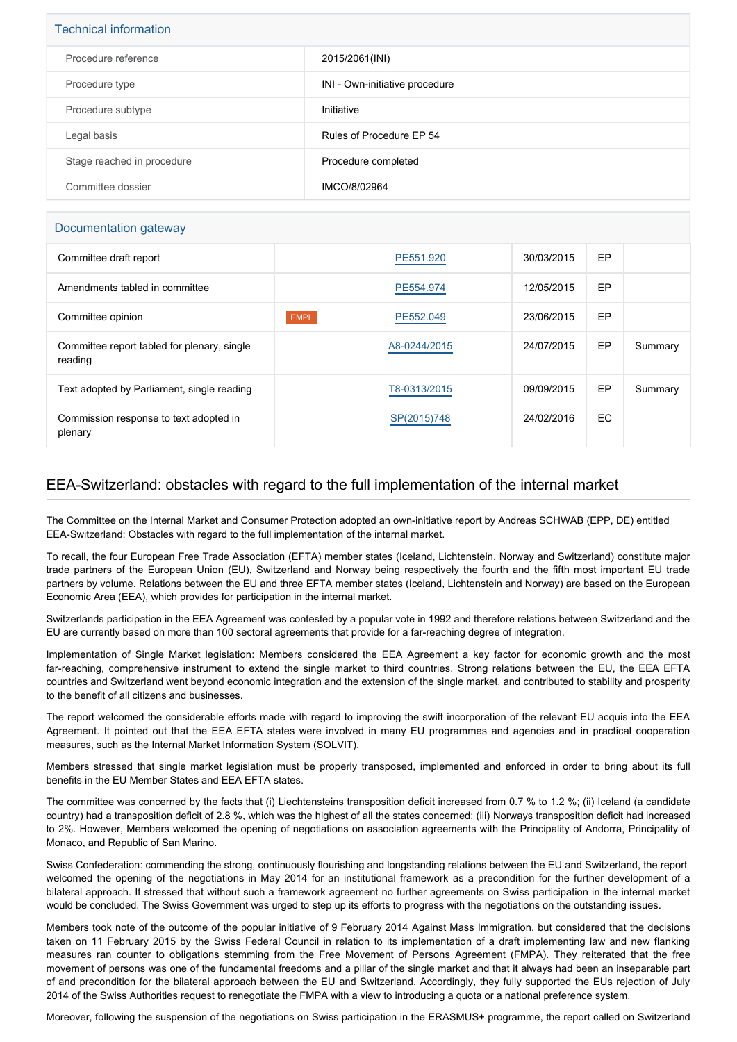| <b>Technical information</b> |                                |  |  |
|------------------------------|--------------------------------|--|--|
| Procedure reference          | 2015/2061(INI)                 |  |  |
| Procedure type               | INI - Own-initiative procedure |  |  |
| Procedure subtype            | Initiative                     |  |  |
| Legal basis                  | Rules of Procedure EP 54       |  |  |
| Stage reached in procedure   | Procedure completed            |  |  |
| Committee dossier            | IMCO/8/02964                   |  |  |

## Documentation gateway

| Committee draft report                                 |             | PE551.920    | 30/03/2015 | <b>EP</b> |         |
|--------------------------------------------------------|-------------|--------------|------------|-----------|---------|
| Amendments tabled in committee                         |             | PE554.974    | 12/05/2015 | EP        |         |
| Committee opinion                                      | <b>EMPL</b> | PE552.049    | 23/06/2015 | <b>EP</b> |         |
| Committee report tabled for plenary, single<br>reading |             | A8-0244/2015 | 24/07/2015 | <b>EP</b> | Summary |
| Text adopted by Parliament, single reading             |             | T8-0313/2015 | 09/09/2015 | EP        | Summary |
| Commission response to text adopted in<br>plenary      |             | SP(2015)748  | 24/02/2016 | EC.       |         |

## EEA-Switzerland: obstacles with regard to the full implementation of the internal market

The Committee on the Internal Market and Consumer Protection adopted an own-initiative report by Andreas SCHWAB (EPP, DE) entitled EEA-Switzerland: Obstacles with regard to the full implementation of the internal market.

To recall, the four European Free Trade Association (EFTA) member states (Iceland, Lichtenstein, Norway and Switzerland) constitute major trade partners of the European Union (EU), Switzerland and Norway being respectively the fourth and the fifth most important EU trade partners by volume. Relations between the EU and three EFTA member states (Iceland, Lichtenstein and Norway) are based on the European Economic Area (EEA), which provides for participation in the internal market.

Switzerlands participation in the EEA Agreement was contested by a popular vote in 1992 and therefore relations between Switzerland and the EU are currently based on more than 100 sectoral agreements that provide for a far-reaching degree of integration.

Implementation of Single Market legislation: Members considered the EEA Agreement a key factor for economic growth and the most far-reaching, comprehensive instrument to extend the single market to third countries. Strong relations between the EU, the EEA EFTA countries and Switzerland went beyond economic integration and the extension of the single market, and contributed to stability and prosperity to the benefit of all citizens and businesses.

The report welcomed the considerable efforts made with regard to improving the swift incorporation of the relevant EU acquis into the EEA Agreement. It pointed out that the EEA EFTA states were involved in many EU programmes and agencies and in practical cooperation measures, such as the Internal Market Information System (SOLVIT).

Members stressed that single market legislation must be properly transposed, implemented and enforced in order to bring about its full benefits in the EU Member States and EEA EFTA states.

The committee was concerned by the facts that (i) Liechtensteins transposition deficit increased from 0.7 % to 1.2 %; (ii) Iceland (a candidate country) had a transposition deficit of 2.8 %, which was the highest of all the states concerned; (iii) Norways transposition deficit had increased to 2%. However, Members welcomed the opening of negotiations on association agreements with the Principality of Andorra, Principality of Monaco, and Republic of San Marino.

Swiss Confederation: commending the strong, continuously flourishing and longstanding relations between the EU and Switzerland, the report welcomed the opening of the negotiations in May 2014 for an institutional framework as a precondition for the further development of a bilateral approach. It stressed that without such a framework agreement no further agreements on Swiss participation in the internal market would be concluded. The Swiss Government was urged to step up its efforts to progress with the negotiations on the outstanding issues.

Members took note of the outcome of the popular initiative of 9 February 2014 Against Mass Immigration, but considered that the decisions taken on 11 February 2015 by the Swiss Federal Council in relation to its implementation of a draft implementing law and new flanking measures ran counter to obligations stemming from the Free Movement of Persons Agreement (FMPA). They reiterated that the free movement of persons was one of the fundamental freedoms and a pillar of the single market and that it always had been an inseparable part of and precondition for the bilateral approach between the EU and Switzerland. Accordingly, they fully supported the EUs rejection of July 2014 of the Swiss Authorities request to renegotiate the FMPA with a view to introducing a quota or a national preference system.

Moreover, following the suspension of the negotiations on Swiss participation in the ERASMUS+ programme, the report called on Switzerland